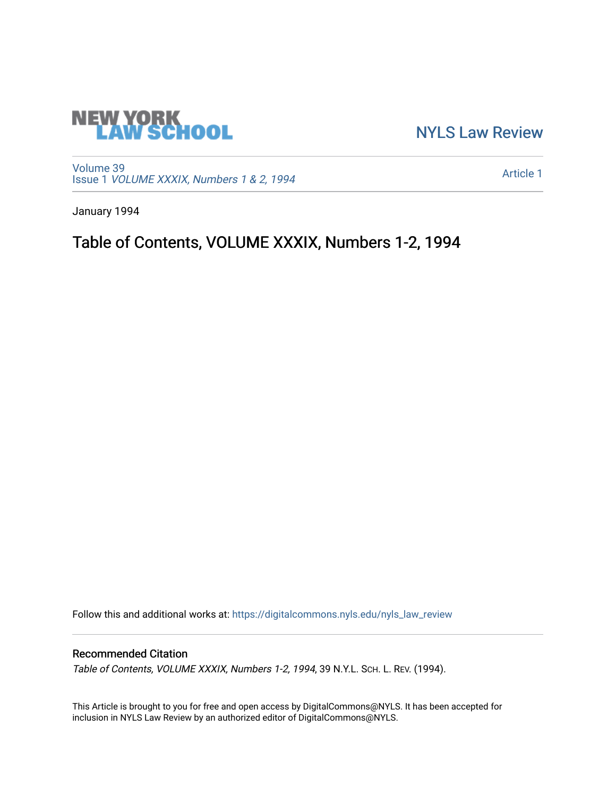

[NYLS Law Review](https://digitalcommons.nyls.edu/nyls_law_review) 

[Volume 39](https://digitalcommons.nyls.edu/nyls_law_review/vol39) Issue 1 [VOLUME XXXIX, Numbers 1 & 2, 1994](https://digitalcommons.nyls.edu/nyls_law_review/vol39/iss1)

[Article 1](https://digitalcommons.nyls.edu/nyls_law_review/vol39/iss1/1) 

January 1994

## Table of Contents, VOLUME XXXIX, Numbers 1-2, 1994

Follow this and additional works at: [https://digitalcommons.nyls.edu/nyls\\_law\\_review](https://digitalcommons.nyls.edu/nyls_law_review?utm_source=digitalcommons.nyls.edu%2Fnyls_law_review%2Fvol39%2Fiss1%2F1&utm_medium=PDF&utm_campaign=PDFCoverPages) 

## Recommended Citation

Table of Contents, VOLUME XXXIX, Numbers 1-2, 1994, 39 N.Y.L. SCH. L. REV. (1994).

This Article is brought to you for free and open access by DigitalCommons@NYLS. It has been accepted for inclusion in NYLS Law Review by an authorized editor of DigitalCommons@NYLS.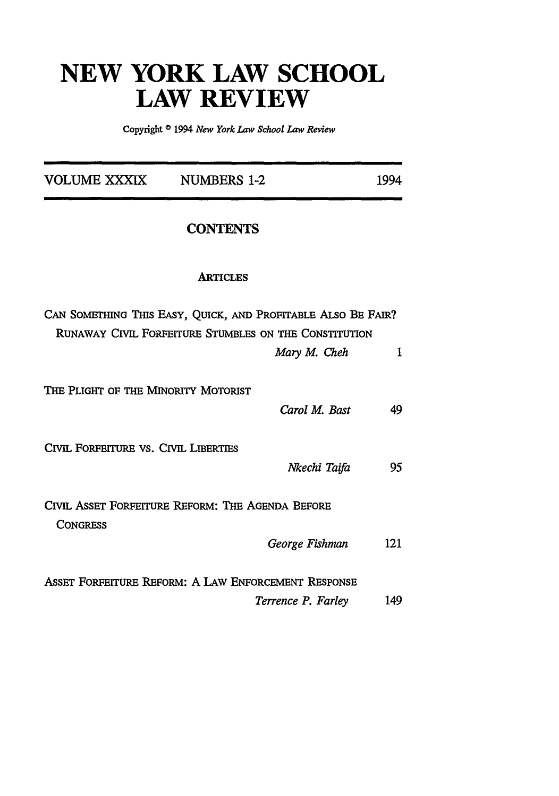## **NEW YORK LAW SCHOOL LAW REVIEW**

Copyright **©** 1994 *New York Law School Law Review*

| VOLUME XXXIX                         | <b>NUMBERS 1-2</b>                                                                                                                    | 1994 |  |
|--------------------------------------|---------------------------------------------------------------------------------------------------------------------------------------|------|--|
| <b>CONTENTS</b>                      |                                                                                                                                       |      |  |
|                                      | <b>ARTICLES</b>                                                                                                                       |      |  |
|                                      | CAN SOMETHING THIS EASY, QUICK, AND PROFITABLE ALSO BE FAIR?<br>RUNAWAY CIVIL FORFEITURE STUMBLES ON THE CONSTITUTION<br>Mary M. Cheh | 1    |  |
| THE PLIGHT OF THE MINORITY MOTORIST  | Carol M. Bast                                                                                                                         | 49   |  |
| CIVIL FORFEITURE VS. CIVIL LIBERTIES | Nkechi Taifa                                                                                                                          | 95   |  |
| <b>CONGRESS</b>                      | CIVIL ASSET FORFEITURE REFORM: THE AGENDA BEFORE<br>George Fishman                                                                    | 121  |  |
|                                      | ASSET FORFEITURE REFORM: A LAW ENFORCEMENT RESPONSE<br>Terrence P. Farley                                                             | 149  |  |